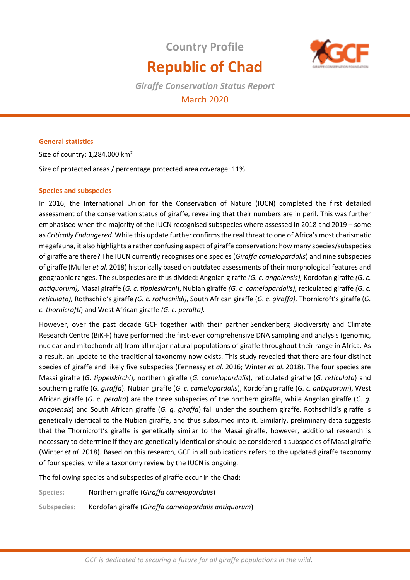# **Country Profile Republic of Chad**



*Giraffe Conservation Status Report*  March 2020

## **General statistics**

Size of country: 1,284,000 km²

Size of protected areas / percentage protected area coverage: 11%

## **Species and subspecies**

In 2016, the International Union for the Conservation of Nature (IUCN) completed the first detailed assessment of the conservation status of giraffe, revealing that their numbers are in peril. This was further emphasised when the majority of the IUCN recognised subspecies where assessed in 2018 and 2019 – some as *Critically Endangered*. While this update further confirms the real threat to one of Africa's most charismatic megafauna, it also highlights a rather confusing aspect of giraffe conservation: how many species/subspecies of giraffe are there? The IUCN currently recognises one species (*Giraffa camelopardalis*) and nine subspecies of giraffe (Muller *et al*. 2018) historically based on outdated assessments of their morphological features and geographic ranges. The subspecies are thus divided: Angolan giraffe *(G. c. angolensis),* Kordofan giraffe *(G. c. antiquorum),* Masai giraffe (*G. c. tippleskirchi*), Nubian giraffe *(G. c. camelopardalis),* reticulated giraffe *(G. c. reticulata),* Rothschild's giraffe *(G. c. rothschildi),* South African giraffe (*G. c*. *giraffa),* Thornicroft's giraffe (*G. c. thornicrofti*) and West African giraffe *(G. c. peralta).* 

However, over the past decade GCF together with their partner Senckenberg Biodiversity and Climate Research Centre (BiK-F) have performed the first-ever comprehensive DNA sampling and analysis (genomic, nuclear and mitochondrial) from all major natural populations of giraffe throughout their range in Africa. As a result, an update to the traditional taxonomy now exists. This study revealed that there are four distinct species of giraffe and likely five subspecies (Fennessy *et al.* 2016; Winter *et al.* 2018). The four species are Masai giraffe (*G. tippelskirchi*), northern giraffe (*G. camelopardalis*), reticulated giraffe (*G. reticulata*) and southern giraffe (*G. giraffa*). Nubian giraffe (*G. c. camelopardalis*), Kordofan giraffe (*G. c. antiquorum*), West African giraffe (*G. c. peralta*) are the three subspecies of the northern giraffe, while Angolan giraffe (*G. g. angolensis*) and South African giraffe (*G. g. giraffa*) fall under the southern giraffe. Rothschild's giraffe is genetically identical to the Nubian giraffe, and thus subsumed into it. Similarly, preliminary data suggests that the Thornicroft's giraffe is genetically similar to the Masai giraffe, however, additional research is necessary to determine if they are genetically identical or should be considered a subspecies of Masai giraffe (Winter *et al.* 2018). Based on this research, GCF in all publications refers to the updated giraffe taxonomy of four species, while a taxonomy review by the IUCN is ongoing.

The following species and subspecies of giraffe occur in the Chad:

**Species:** Northern giraffe (*Giraffa camelopardalis*)

**Subspecies:** Kordofan giraffe (*Giraffa camelopardalis antiquorum*)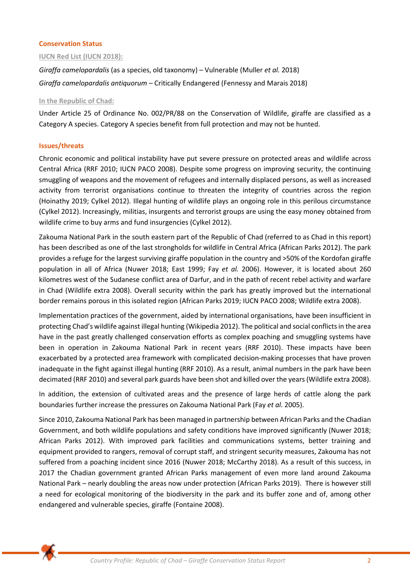## **Conservation Status**

#### **IUCN Red List (IUCN 2018):**

*Giraffa camelopardalis* (as a species, old taxonomy) – Vulnerable (Muller *et al.* 2018) *Giraffa camelopardalis antiquorum* – Critically Endangered (Fennessy and Marais 2018)

#### **In the Republic of Chad:**

Under Article 25 of Ordinance No. 002/PR/88 on the Conservation of Wildlife, giraffe are classified as a Category A species. Category A species benefit from full protection and may not be hunted.

## **Issues/threats**

Chronic economic and political instability have put severe pressure on protected areas and wildlife across Central Africa (RRF 2010; IUCN PACO 2008). Despite some progress on improving security, the continuing smuggling of weapons and the movement of refugees and internally displaced persons, as well as increased activity from terrorist organisations continue to threaten the integrity of countries across the region (Hoinathy 2019; Cylkel 2012). Illegal hunting of wildlife plays an ongoing role in this perilous circumstance (Cylkel 2012). Increasingly, militias, insurgents and terrorist groups are using the easy money obtained from wildlife crime to buy arms and fund insurgencies (Cylkel 2012).

Zakouma National Park in the south eastern part of the Republic of Chad (referred to as Chad in this report) has been described as one of the last strongholds for wildlife in Central Africa (African Parks 2012). The park provides a refuge for the largest surviving giraffe population in the country and >50% of the Kordofan giraffe population in all of Africa (Nuwer 2018; East 1999; Fay *et al.* 2006). However, it is located about 260 kilometres west of the Sudanese conflict area of Darfur, and in the path of recent rebel activity and warfare in Chad (Wildlife extra 2008). Overall security within the park has greatly improved but the international border remains porous in this isolated region (African Parks 2019; IUCN PACO 2008; Wildlife extra 2008).

Implementation practices of the government, aided by international organisations, have been insufficient in protecting Chad's wildlife against illegal hunting (Wikipedia 2012). The political and social conflicts in the area have in the past greatly challenged conservation efforts as complex poaching and smuggling systems have been in operation in Zakouma National Park in recent years (RRF 2010). These impacts have been exacerbated by a protected area framework with complicated decision-making processes that have proven inadequate in the fight against illegal hunting (RRF 2010). As a result, animal numbers in the park have been decimated (RRF 2010) and several park guards have been shot and killed over the years (Wildlife extra 2008).

In addition, the extension of cultivated areas and the presence of large herds of cattle along the park boundaries further increase the pressures on Zakouma National Park (Fay *et al.* 2005).

Since 2010, Zakouma National Park has been managed in partnership between African Parks and the Chadian Government, and both wildlife populations and safety conditions have improved significantly (Nuwer 2018; African Parks 2012). With improved park facilities and communications systems, better training and equipment provided to rangers, removal of corrupt staff, and stringent security measures, Zakouma has not suffered from a poaching incident since 2016 (Nuwer 2018; McCarthy 2018). As a result of this success, in 2017 the Chadian government granted African Parks management of even more land around Zakouma National Park – nearly doubling the areas now under protection (African Parks 2019). There is however still a need for ecological monitoring of the biodiversity in the park and its buffer zone and of, among other endangered and vulnerable species, giraffe (Fontaine 2008).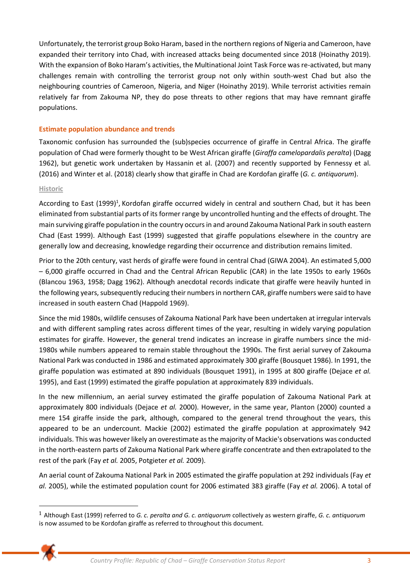Unfortunately, the terrorist group Boko Haram, based in the northern regions of Nigeria and Cameroon, have expanded their territory into Chad, with increased attacks being documented since 2018 (Hoinathy 2019). With the expansion of Boko Haram's activities, the Multinational Joint Task Force was re-activated, but many challenges remain with controlling the terrorist group not only within south-west Chad but also the neighbouring countries of Cameroon, Nigeria, and Niger (Hoinathy 2019). While terrorist activities remain relatively far from Zakouma NP, they do pose threats to other regions that may have remnant giraffe populations.

# **Estimate population abundance and trends**

Taxonomic confusion has surrounded the (sub)species occurrence of giraffe in Central Africa. The giraffe population of Chad were formerly thought to be West African giraffe (*Giraffa camelopardalis peralta*) (Dagg 1962), but genetic work undertaken by Hassanin et al. (2007) and recently supported by Fennessy et al. (2016) and Winter et al. (2018) clearly show that giraffe in Chad are Kordofan giraffe (*G. c. antiquorum*).

## **Historic**

According to East (1999)<sup>1</sup>, Kordofan giraffe occurred widely in central and southern Chad, but it has been eliminated from substantial parts of its former range by uncontrolled hunting and the effects of drought. The main surviving giraffe population in the country occurs in and around Zakouma National Park in south eastern Chad (East 1999). Although East (1999) suggested that giraffe populations elsewhere in the country are generally low and decreasing, knowledge regarding their occurrence and distribution remains limited.

Prior to the 20th century, vast herds of giraffe were found in central Chad (GIWA 2004). An estimated 5,000 – 6,000 giraffe occurred in Chad and the Central African Republic (CAR) in the late 1950s to early 1960s (Blancou 1963, 1958; Dagg 1962). Although anecdotal records indicate that giraffe were heavily hunted in the following years, subsequently reducing their numbers in northern CAR, giraffe numbers were said to have increased in south eastern Chad (Happold 1969).

Since the mid 1980s, wildlife censuses of Zakouma National Park have been undertaken at irregular intervals and with different sampling rates across different times of the year, resulting in widely varying population estimates for giraffe. However, the general trend indicates an increase in giraffe numbers since the mid-1980s while numbers appeared to remain stable throughout the 1990s. The first aerial survey of Zakouma National Park was conducted in 1986 and estimated approximately 300 giraffe (Bousquet 1986). In 1991, the giraffe population was estimated at 890 individuals (Bousquet 1991), in 1995 at 800 giraffe (Dejace *et al.* 1995), and East (1999) estimated the giraffe population at approximately 839 individuals.

In the new millennium, an aerial survey estimated the giraffe population of Zakouma National Park at approximately 800 individuals (Dejace *et al.* 2000). However, in the same year, Planton (2000) counted a mere 154 giraffe inside the park, although, compared to the general trend throughout the years, this appeared to be an undercount. Mackie (2002) estimated the giraffe population at approximately 942 individuals. This was however likely an overestimate as the majority of Mackie's observations was conducted in the north-eastern parts of Zakouma National Park where giraffe concentrate and then extrapolated to the rest of the park (Fay *et al.* 2005, Potgieter *et al.* 2009).

An aerial count of Zakouma National Park in 2005 estimated the giraffe population at 292 individuals (Fay *et al.* 2005), while the estimated population count for 2006 estimated 383 giraffe (Fay *et al.* 2006). A total of

<sup>1</sup> Although East (1999) referred to *G. c. peralta and G. c. antiquorum* collectively as western giraffe, *G. c. antiquorum* is now assumed to be Kordofan giraffe as referred to throughout this document.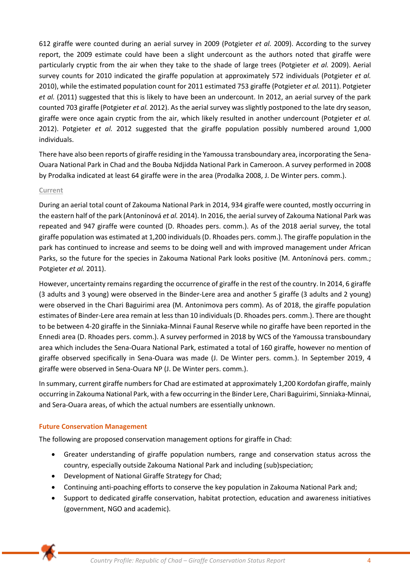612 giraffe were counted during an aerial survey in 2009 (Potgieter *et al.* 2009). According to the survey report, the 2009 estimate could have been a slight undercount as the authors noted that giraffe were particularly cryptic from the air when they take to the shade of large trees (Potgieter *et al.* 2009). Aerial survey counts for 2010 indicated the giraffe population at approximately 572 individuals (Potgieter *et al.* 2010), while the estimated population count for 2011 estimated 753 giraffe (Potgieter *et al.* 2011). Potgieter *et al.* (2011) suggested that this is likely to have been an undercount. In 2012, an aerial survey of the park counted 703 giraffe (Potgieter *et al.* 2012). As the aerial survey was slightly postponed to the late dry season, giraffe were once again cryptic from the air, which likely resulted in another undercount (Potgieter *et al.* 2012). Potgieter *et al.* 2012 suggested that the giraffe population possibly numbered around 1,000 individuals.

There have also been reports of giraffe residing in the Yamoussa transboundary area, incorporating the Sena-Ouara National Park in Chad and the Bouba Ndjidda National Park in Cameroon. A survey performed in 2008 by Prodalka indicated at least 64 giraffe were in the area (Prodalka 2008, J. De Winter pers. comm.).

## **Current**

During an aerial total count of Zakouma National Park in 2014, 934 giraffe were counted, mostly occurring in the eastern half of the park (Antonínová *et al.* 2014). In 2016, the aerial survey of Zakouma National Park was repeated and 947 giraffe were counted (D. Rhoades pers. comm.). As of the 2018 aerial survey, the total giraffe population was estimated at 1,200 individuals (D. Rhoades pers. comm.). The giraffe population in the park has continued to increase and seems to be doing well and with improved management under African Parks, so the future for the species in Zakouma National Park looks positive (M. Antonínová pers. comm.; Potgieter *et al.* 2011).

However, uncertainty remains regarding the occurrence of giraffe in the rest of the country. In 2014, 6 giraffe (3 adults and 3 young) were observed in the Binder-Lere area and another 5 giraffe (3 adults and 2 young) were observed in the Chari Baguirimi area (M. Antonimova pers comm). As of 2018, the giraffe population estimates of Binder-Lere area remain at less than 10 individuals (D. Rhoades pers. comm.). There are thought to be between 4-20 giraffe in the Sinniaka-Minnai Faunal Reserve while no giraffe have been reported in the Ennedi area (D. Rhoades pers. comm.). A survey performed in 2018 by WCS of the Yamoussa transboundary area which includes the Sena-Ouara National Park, estimated a total of 160 giraffe, however no mention of giraffe observed specifically in Sena-Ouara was made (J. De Winter pers. comm.). In September 2019, 4 giraffe were observed in Sena-Ouara NP (J. De Winter pers. comm.).

In summary, current giraffe numbers for Chad are estimated at approximately 1,200 Kordofan giraffe, mainly occurring in Zakouma National Park, with a few occurring in the Binder Lere, Chari Baguirimi, Sinniaka-Minnai, and Sera-Ouara areas, of which the actual numbers are essentially unknown.

# **Future Conservation Management**

The following are proposed conservation management options for giraffe in Chad:

- Greater understanding of giraffe population numbers, range and conservation status across the country, especially outside Zakouma National Park and including (sub)speciation;
- Development of National Giraffe Strategy for Chad;
- Continuing anti-poaching efforts to conserve the key population in Zakouma National Park and;
- Support to dedicated giraffe conservation, habitat protection, education and awareness initiatives (government, NGO and academic).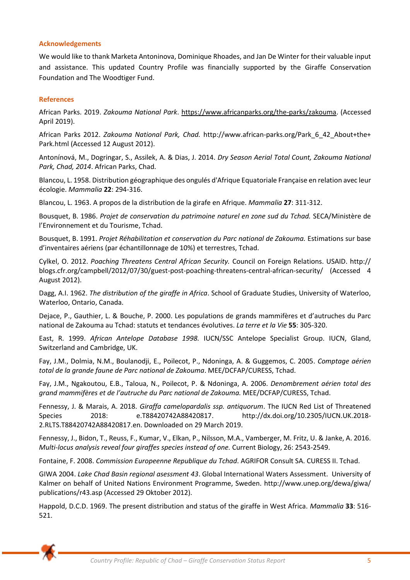#### **Acknowledgements**

We would like to thank Marketa Antoninova, Dominique Rhoades, and Jan De Winter for their valuable input and assistance. This updated Country Profile was financially supported by the Giraffe Conservation Foundation and The Woodtiger Fund.

#### **References**

African Parks. 2019. *Zakouma National Park*. [https://www.africanparks.org/the-parks/zakouma.](https://www.africanparks.org/the-parks/zakouma) (Accessed April 2019).

African Parks 2012. *Zakouma National Park, Chad.* http://www.african-parks.org/Park\_6\_42\_About+the+ Park.html (Accessed 12 August 2012).

Antonínová, M., Dogringar, S., Assilek, A. & Dias, J. 2014. *Dry Season Aerial Total Count, Zakouma National Park, Chad, 2014*. African Parks, Chad.

Blancou, L. 1958. Distribution géographique des ongulés d'Afrique Equatoriale Française en relation avec leur écologie. *Mammalia* **22**: 294-316.

Blancou, L. 1963. A propos de la distribution de la girafe en Afrique. *Mammalia* **27**: 311-312.

Bousquet, B. 1986. *Projet de conservation du patrimoine naturel en zone sud du Tchad.* SECA/Ministère de l'Environnement et du Tourisme, Tchad.

Bousquet, B. 1991. *Projet Réhabilitation et conservation du Parc national de Zakouma.* Estimations sur base d'inventaires aériens (par échantillonnage de 10%) et terrestres, Tchad.

Cylkel, O. 2012. *Poaching Threatens Central African Security.* Council on Foreign Relations. USAID. http:// blogs.cfr.org/campbell/2012/07/30/guest-post-poaching-threatens-central-african-security/ (Accessed 4 August 2012).

Dagg, A.I. 1962. *The distribution of the giraffe in Africa*. School of Graduate Studies, University of Waterloo, Waterloo, Ontario, Canada.

Dejace, P., Gauthier, L. & Bouche, P. 2000. Les populations de grands mammifères et d'autruches du Parc national de Zakouma au Tchad: statuts et tendances évolutives. *La terre et la Vie* **55**: 305-320.

East, R. 1999. *African Antelope Database 1998.* IUCN/SSC Antelope Specialist Group. IUCN, Gland, Switzerland and Cambridge, UK.

Fay, J.M., Dolmia, N.M., Boulanodji, E., Poilecot, P., Ndoninga, A. & Guggemos, C. 2005. *Comptage aérien total de la grande faune de Parc national de Zakouma*. MEE/DCFAP/CURESS, Tchad.

Fay, J.M., Ngakoutou, E.B., Taloua, N., Poilecot, P. & Ndoninga, A. 2006. *Denombrement aérien total des grand mammifères et de l'autruche du Parc national de Zakouma.* MEE/DCFAP/CURESS, Tchad.

Fennessy, J. & Marais, A. 2018. *Giraffa camelopardalis ssp. antiquorum*. The IUCN Red List of Threatened Species 2018: e.T88420742A88420817. http://dx.doi.org/10.2305/IUCN.UK.2018- 2.RLTS.T88420742A88420817.en. Downloaded on 29 March 2019.

Fennessy, J., Bidon, T., Reuss, F., Kumar, V., Elkan, P., Nilsson, M.A., Vamberger, M. Fritz, U. & Janke, A. 2016. *Multi-locus analysis reveal four giraffes species instead of one.* Current Biology, 26: 2543-2549.

Fontaine, F. 2008. *Commission Europeenne Republique du Tchad*. AGRIFOR Consult SA. CURESS II. Tchad.

GIWA 2004. *Lake Chad Basin regional asessment 43*. Global International Waters Assessment. University of Kalmer on behalf of United Nations Environment Programme, Sweden. http://www.unep.org/dewa/giwa/ publications/r43.asp (Accessed 29 Oktober 2012).

Happold, D.C.D. 1969. The present distribution and status of the giraffe in West Africa. *Mammalia* **33**: 516- 521.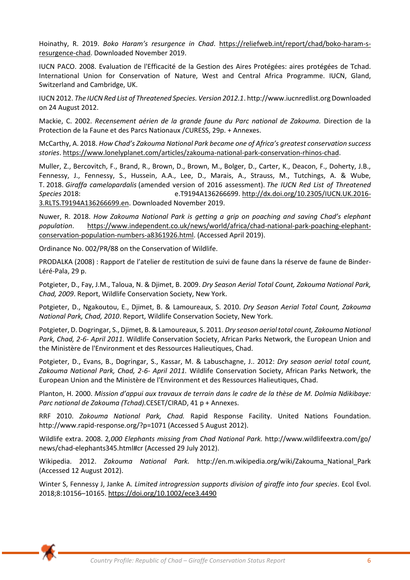Hoinathy, R. 2019. *Boko Haram's resurgence in Chad*. [https://reliefweb.int/report/chad/boko-haram-s](https://reliefweb.int/report/chad/boko-haram-s-resurgence-chad)[resurgence-chad.](https://reliefweb.int/report/chad/boko-haram-s-resurgence-chad) Downloaded November 2019.

IUCN PACO. 2008. Evaluation de l'Efficacité de la Gestion des Aires Protégées: aires protégées de Tchad. International Union for Conservation of Nature, West and Central Africa Programme. IUCN, Gland, Switzerland and Cambridge, UK.

IUCN 2012. *The IUCN Red List of Threatened Species. Version 2012.1*. http://www.iucnredlist.org Downloaded on 24 August 2012.

Mackie, C. 2002. *Recensement aérien de la grande faune du Parc national de Zakouma.* Direction de la Protection de la Faune et des Parcs Nationaux /CURESS, 29p. + Annexes.

McCarthy, A. 2018. *How Chad's Zakouma National Park became one of Africa's greatest conservation success stories*. [https://www.lonelyplanet.com/articles/zakouma-national-park-conservation-rhinos-chad.](https://www.lonelyplanet.com/articles/zakouma-national-park-conservation-rhinos-chad)

Muller, Z., Bercovitch, F., Brand, R., Brown, D., Brown, M., Bolger, D., Carter, K., Deacon, F., Doherty, J.B., Fennessy, J., Fennessy, S., Hussein, A.A., Lee, D., Marais, A., Strauss, M., Tutchings, A. & Wube, T. 2018. *Giraffa camelopardalis* (amended version of 2016 assessment). *The IUCN Red List of Threatened Species* 2018: e.T9194A136266699. [http://dx.doi.org/10.2305/IUCN.UK.2016-](http://dx.doi.org/10.2305/IUCN.UK.2016-3.RLTS.T9194A136266699.en)

[3.RLTS.T9194A136266699.en.](http://dx.doi.org/10.2305/IUCN.UK.2016-3.RLTS.T9194A136266699.en) Downloaded November 2019.

Nuwer, R. 2018. *How Zakouma National Park is getting a grip on poaching and saving Chad's elephant population*. [https://www.independent.co.uk/news/world/africa/chad-national-park-poaching-elephant](https://www.independent.co.uk/news/world/africa/chad-national-park-poaching-elephant-conservation-population-numbers-a8361926.html)[conservation-population-numbers-a8361926.html.](https://www.independent.co.uk/news/world/africa/chad-national-park-poaching-elephant-conservation-population-numbers-a8361926.html) (Accessed April 2019).

Ordinance No. 002/PR/88 on the Conservation of Wildlife.

PRODALKA (2008) : Rapport de l'atelier de restitution de suivi de faune dans la réserve de faune de Binder-Léré-Pala, 29 p.

Potgieter, D., Fay, J.M., Taloua, N. & Djimet, B. 2009. *Dry Season Aerial Total Count, Zakouma National Park, Chad, 2009*. Report, Wildlife Conservation Society, New York.

Potgieter, D., Ngakoutou, E., Djimet, B. & Lamoureaux, S. 2010. *Dry Season Aerial Total Count, Zakouma National Park, Chad, 2010*. Report, Wildlife Conservation Society, New York.

Potgieter, D. Dogringar, S., Djimet, B. & Lamoureaux, S. 2011. *Dry season aerial total count, Zakouma National Park, Chad, 2-6- April 2011.* Wildlife Conservation Society, African Parks Network, the European Union and the Ministère de l'Environment et des Ressources Halieutiques, Chad.

Potgieter, D., Evans, B., Dogringar, S., Kassar, M. & Labuschagne, J.. 2012: *Dry season aerial total count, Zakouma National Park, Chad, 2-6- April 2011.* Wildlife Conservation Society, African Parks Network, the European Union and the Ministère de l'Environment et des Ressources Halieutiques, Chad.

Planton, H. 2000. *Mission d'appui aux travaux de terrain dans le cadre de la thèse de M. Dolmia Ndikibaye: Parc national de Zakouma (Tchad).*CESET/CIRAD, 41 p + Annexes.

RRF 2010. *Zakouma National Park, Chad.* Rapid Response Facility. United Nations Foundation. http://www.rapid-response.org/?p=1071 (Accessed 5 August 2012).

Wildlife extra. 2008. 2*,000 Elephants missing from Chad National Park.* http://www.wildlifeextra.com/go/ news/chad-elephants345.html#cr (Accessed 29 July 2012).

Wikipedia. 2012. *Zakouma National Park.* http://en.m.wikipedia.org/wiki/Zakouma\_National\_Park (Accessed 12 August 2012).

Winter S, Fennessy J, Janke A. *Limited introgression supports division of giraffe into four species*. Ecol Evol. 2018;8:10156–10165.<https://doi.org/10.1002/ece3.4490>